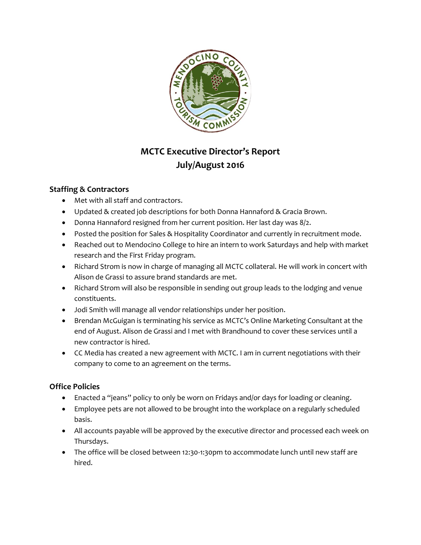

# **MCTC Executive Director's Report July/August 2016**

# **Staffing & Contractors**

- Met with all staff and contractors.
- Updated & created job descriptions for both Donna Hannaford & Gracia Brown.
- Donna Hannaford resigned from her current position. Her last day was 8/2.
- Posted the position for Sales & Hospitality Coordinator and currently in recruitment mode.
- Reached out to Mendocino College to hire an intern to work Saturdays and help with market research and the First Friday program.
- Richard Strom is now in charge of managing all MCTC collateral. He will work in concert with Alison de Grassi to assure brand standards are met.
- Richard Strom will also be responsible in sending out group leads to the lodging and venue constituents.
- Jodi Smith will manage all vendor relationships under her position.
- Brendan McGuigan is terminating his service as MCTC's Online Marketing Consultant at the end of August. Alison de Grassi and I met with Brandhound to cover these services until a new contractor is hired.
- CC Media has created a new agreement with MCTC. I am in current negotiations with their company to come to an agreement on the terms.

# **Office Policies**

- Enacted a "jeans" policy to only be worn on Fridays and/or days for loading or cleaning.
- Employee pets are not allowed to be brought into the workplace on a regularly scheduled basis.
- All accounts payable will be approved by the executive director and processed each week on Thursdays.
- The office will be closed between 12:30-1:30pm to accommodate lunch until new staff are hired.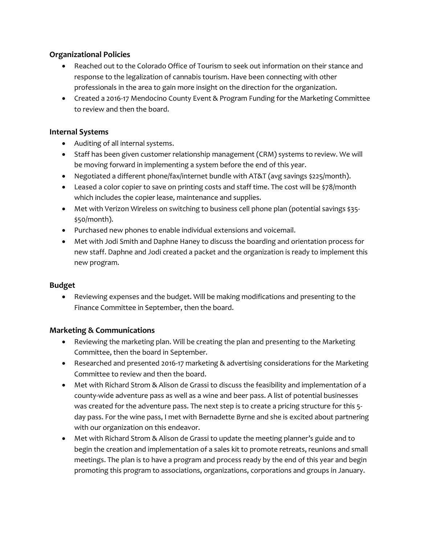# **Organizational Policies**

- Reached out to the Colorado Office of Tourism to seek out information on their stance and response to the legalization of cannabis tourism. Have been connecting with other professionals in the area to gain more insight on the direction for the organization.
- Created a 2016-17 Mendocino County Event & Program Funding for the Marketing Committee to review and then the board.

## **Internal Systems**

- Auditing of all internal systems.
- Staff has been given customer relationship management (CRM) systems to review. We will be moving forward in implementing a system before the end of this year.
- Negotiated a different phone/fax/internet bundle with AT&T (avg savings \$225/month).
- Leased a color copier to save on printing costs and staff time. The cost will be \$78/month which includes the copier lease, maintenance and supplies.
- Met with Verizon Wireless on switching to business cell phone plan (potential savings \$35-\$50/month).
- Purchased new phones to enable individual extensions and voicemail.
- Met with Jodi Smith and Daphne Haney to discuss the boarding and orientation process for new staff. Daphne and Jodi created a packet and the organization is ready to implement this new program.

#### **Budget**

 Reviewing expenses and the budget. Will be making modifications and presenting to the Finance Committee in September, then the board.

#### **Marketing & Communications**

- Reviewing the marketing plan. Will be creating the plan and presenting to the Marketing Committee, then the board in September.
- Researched and presented 2016-17 marketing & advertising considerations for the Marketing Committee to review and then the board.
- Met with Richard Strom & Alison de Grassi to discuss the feasibility and implementation of a county-wide adventure pass as well as a wine and beer pass. A list of potential businesses was created for the adventure pass. The next step is to create a pricing structure for this 5day pass. For the wine pass, I met with Bernadette Byrne and she is excited about partnering with our organization on this endeavor.
- Met with Richard Strom & Alison de Grassi to update the meeting planner's guide and to begin the creation and implementation of a sales kit to promote retreats, reunions and small meetings. The plan is to have a program and process ready by the end of this year and begin promoting this program to associations, organizations, corporations and groups in January.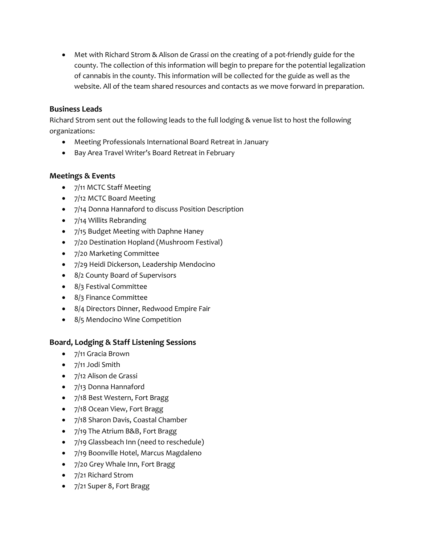Met with Richard Strom & Alison de Grassi on the creating of a pot-friendly guide for the county. The collection of this information will begin to prepare for the potential legalization of cannabis in the county. This information will be collected for the guide as well as the website. All of the team shared resources and contacts as we move forward in preparation.

## **Business Leads**

Richard Strom sent out the following leads to the full lodging & venue list to host the following organizations:

- Meeting Professionals International Board Retreat in January
- Bay Area Travel Writer's Board Retreat in February

## **Meetings & Events**

- 7/11 MCTC Staff Meeting
- 7/12 MCTC Board Meeting
- 7/14 Donna Hannaford to discuss Position Description
- 7/14 Willits Rebranding
- 7/15 Budget Meeting with Daphne Haney
- 7/20 Destination Hopland (Mushroom Festival)
- 7/20 Marketing Committee
- 7/29 Heidi Dickerson, Leadership Mendocino
- 8/2 County Board of Supervisors
- 8/3 Festival Committee
- 8/3 Finance Committee
- 8/4 Directors Dinner, Redwood Empire Fair
- 8/5 Mendocino Wine Competition

# **Board, Lodging & Staff Listening Sessions**

- 7/11 Gracia Brown
- 7/11 Jodi Smith
- 7/12 Alison de Grassi
- 7/13 Donna Hannaford
- 7/18 Best Western, Fort Bragg
- 7/18 Ocean View, Fort Bragg
- 7/18 Sharon Davis, Coastal Chamber
- 7/19 The Atrium B&B, Fort Bragg
- 7/19 Glassbeach Inn (need to reschedule)
- 7/19 Boonville Hotel, Marcus Magdaleno
- 7/20 Grey Whale Inn, Fort Bragg
- 7/21 Richard Strom
- 7/21 Super 8, Fort Bragg